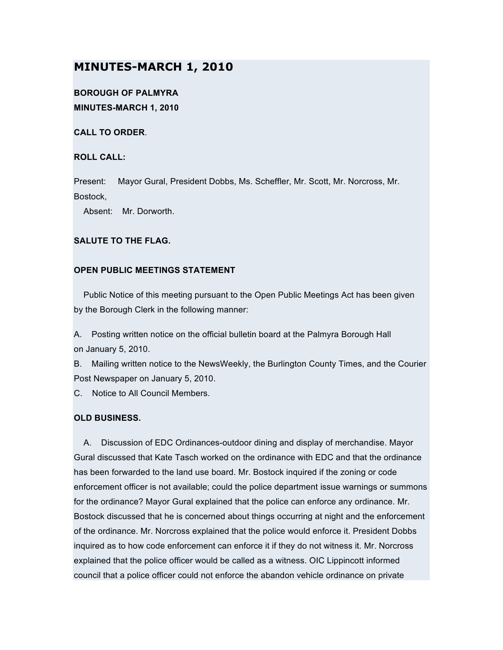# **MINUTES-MARCH 1, 2010**

## **BOROUGH OF PALMYRA MINUTES-MARCH 1, 2010**

**CALL TO ORDER**.

#### **ROLL CALL:**

Present: Mayor Gural, President Dobbs, Ms. Scheffler, Mr. Scott, Mr. Norcross, Mr. Bostock,

Absent: Mr. Dorworth.

### **SALUTE TO THE FLAG.**

### **OPEN PUBLIC MEETINGS STATEMENT**

Public Notice of this meeting pursuant to the Open Public Meetings Act has been given by the Borough Clerk in the following manner:

A. Posting written notice on the official bulletin board at the Palmyra Borough Hall on January 5, 2010.

B. Mailing written notice to the NewsWeekly, the Burlington County Times, and the Courier Post Newspaper on January 5, 2010.

C. Notice to All Council Members.

### **OLD BUSINESS.**

A. Discussion of EDC Ordinances-outdoor dining and display of merchandise. Mayor Gural discussed that Kate Tasch worked on the ordinance with EDC and that the ordinance has been forwarded to the land use board. Mr. Bostock inquired if the zoning or code enforcement officer is not available; could the police department issue warnings or summons for the ordinance? Mayor Gural explained that the police can enforce any ordinance. Mr. Bostock discussed that he is concerned about things occurring at night and the enforcement of the ordinance. Mr. Norcross explained that the police would enforce it. President Dobbs inquired as to how code enforcement can enforce it if they do not witness it. Mr. Norcross explained that the police officer would be called as a witness. OIC Lippincott informed council that a police officer could not enforce the abandon vehicle ordinance on private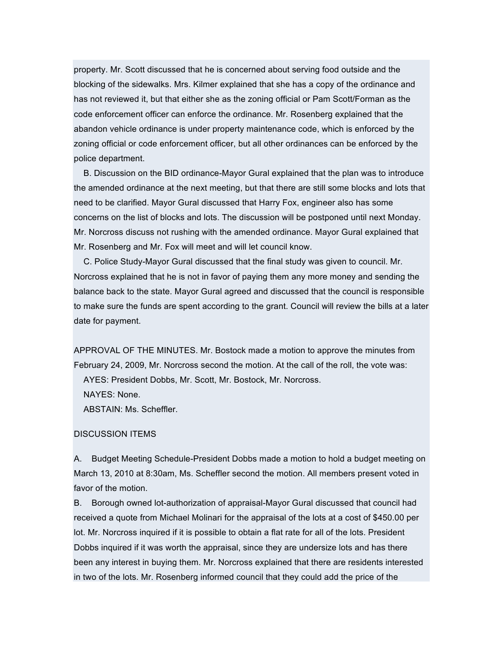property. Mr. Scott discussed that he is concerned about serving food outside and the blocking of the sidewalks. Mrs. Kilmer explained that she has a copy of the ordinance and has not reviewed it, but that either she as the zoning official or Pam Scott/Forman as the code enforcement officer can enforce the ordinance. Mr. Rosenberg explained that the abandon vehicle ordinance is under property maintenance code, which is enforced by the zoning official or code enforcement officer, but all other ordinances can be enforced by the police department.

B. Discussion on the BID ordinance-Mayor Gural explained that the plan was to introduce the amended ordinance at the next meeting, but that there are still some blocks and lots that need to be clarified. Mayor Gural discussed that Harry Fox, engineer also has some concerns on the list of blocks and lots. The discussion will be postponed until next Monday. Mr. Norcross discuss not rushing with the amended ordinance. Mayor Gural explained that Mr. Rosenberg and Mr. Fox will meet and will let council know.

C. Police Study-Mayor Gural discussed that the final study was given to council. Mr. Norcross explained that he is not in favor of paying them any more money and sending the balance back to the state. Mayor Gural agreed and discussed that the council is responsible to make sure the funds are spent according to the grant. Council will review the bills at a later date for payment.

APPROVAL OF THE MINUTES. Mr. Bostock made a motion to approve the minutes from February 24, 2009, Mr. Norcross second the motion. At the call of the roll, the vote was: AYES: President Dobbs, Mr. Scott, Mr. Bostock, Mr. Norcross. NAYES: None. ABSTAIN: Ms. Scheffler.

#### DISCUSSION ITEMS

A. Budget Meeting Schedule-President Dobbs made a motion to hold a budget meeting on March 13, 2010 at 8:30am, Ms. Scheffler second the motion. All members present voted in favor of the motion.

B. Borough owned lot-authorization of appraisal-Mayor Gural discussed that council had received a quote from Michael Molinari for the appraisal of the lots at a cost of \$450.00 per lot. Mr. Norcross inquired if it is possible to obtain a flat rate for all of the lots. President Dobbs inquired if it was worth the appraisal, since they are undersize lots and has there been any interest in buying them. Mr. Norcross explained that there are residents interested in two of the lots. Mr. Rosenberg informed council that they could add the price of the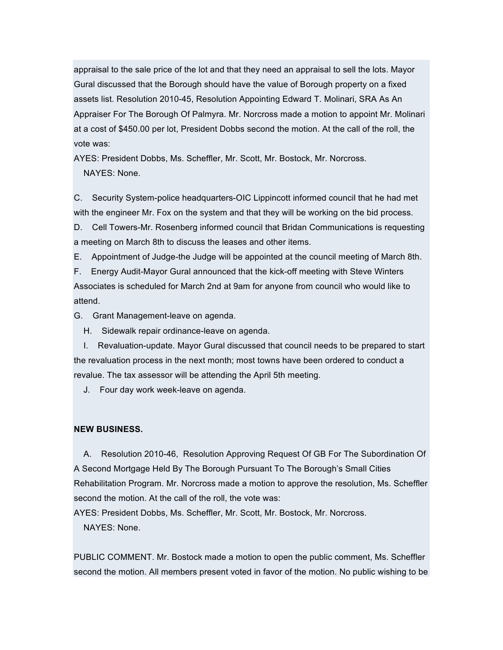appraisal to the sale price of the lot and that they need an appraisal to sell the lots. Mayor Gural discussed that the Borough should have the value of Borough property on a fixed assets list. Resolution 2010-45, Resolution Appointing Edward T. Molinari, SRA As An Appraiser For The Borough Of Palmyra. Mr. Norcross made a motion to appoint Mr. Molinari at a cost of \$450.00 per lot, President Dobbs second the motion. At the call of the roll, the vote was:

AYES: President Dobbs, Ms. Scheffler, Mr. Scott, Mr. Bostock, Mr. Norcross. NAYES: None.

C. Security System-police headquarters-OIC Lippincott informed council that he had met with the engineer Mr. Fox on the system and that they will be working on the bid process.

D. Cell Towers-Mr. Rosenberg informed council that Bridan Communications is requesting a meeting on March 8th to discuss the leases and other items.

E. Appointment of Judge-the Judge will be appointed at the council meeting of March 8th.

F. Energy Audit-Mayor Gural announced that the kick-off meeting with Steve Winters Associates is scheduled for March 2nd at 9am for anyone from council who would like to attend.

G. Grant Management-leave on agenda.

H. Sidewalk repair ordinance-leave on agenda.

I. Revaluation-update. Mayor Gural discussed that council needs to be prepared to start the revaluation process in the next month; most towns have been ordered to conduct a revalue. The tax assessor will be attending the April 5th meeting.

J. Four day work week-leave on agenda.

#### **NEW BUSINESS.**

A. Resolution 2010-46, Resolution Approving Request Of GB For The Subordination Of A Second Mortgage Held By The Borough Pursuant To The Borough's Small Cities Rehabilitation Program. Mr. Norcross made a motion to approve the resolution, Ms. Scheffler second the motion. At the call of the roll, the vote was:

AYES: President Dobbs, Ms. Scheffler, Mr. Scott, Mr. Bostock, Mr. Norcross. NAYES: None.

PUBLIC COMMENT. Mr. Bostock made a motion to open the public comment, Ms. Scheffler second the motion. All members present voted in favor of the motion. No public wishing to be